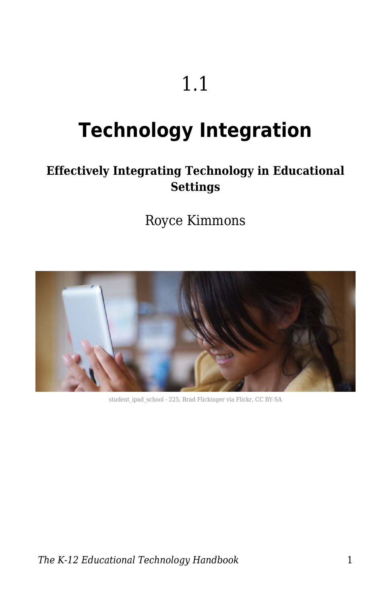# 1.1

# **Technology Integration**

#### **Effectively Integrating Technology in Educational Settings**

Royce Kimmons



student ipad school - 225, Brad Flickinger via Flickr, CC BY-SA

*The K-12 Educational Technology Handbook* 1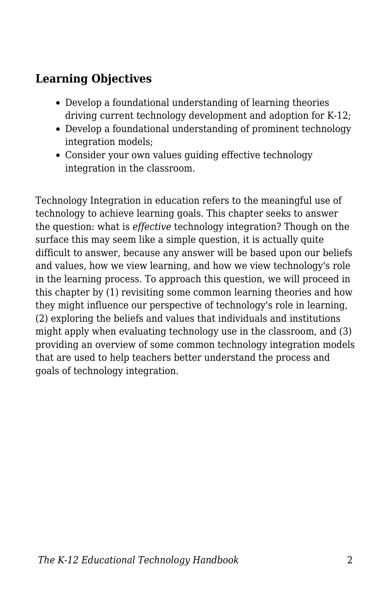#### **Learning Objectives**

- Develop a foundational understanding of learning theories driving current technology development and adoption for K-12;
- Develop a foundational understanding of prominent technology integration models;
- Consider your own values guiding effective technology integration in the classroom.

Technology Integration in education refers to the meaningful use of technology to achieve learning goals. This chapter seeks to answer the question: what is *effective* technology integration? Though on the surface this may seem like a simple question, it is actually quite difficult to answer, because any answer will be based upon our beliefs and values, how we view learning, and how we view technology's role in the learning process. To approach this question, we will proceed in this chapter by (1) revisiting some common learning theories and how they might influence our perspective of technology's role in learning, (2) exploring the beliefs and values that individuals and institutions might apply when evaluating technology use in the classroom, and (3) providing an overview of some common technology integration models that are used to help teachers better understand the process and goals of technology integration.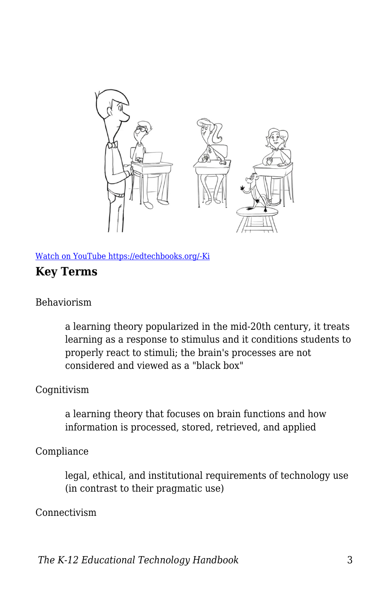

[Watch on YouTube https://edtechbooks.org/-Ki](https://www.youtube.com/embed/bfvuG620Bto?autoplay=1&rel=0&showinfo=0&modestbranding=1)

#### **Key Terms**

#### Behaviorism

a learning theory popularized in the mid-20th century, it treats learning as a response to stimulus and it conditions students to properly react to stimuli; the brain's processes are not considered and viewed as a "black box"

#### Cognitivism

a learning theory that focuses on brain functions and how information is processed, stored, retrieved, and applied

#### Compliance

legal, ethical, and institutional requirements of technology use (in contrast to their pragmatic use)

#### Connectivism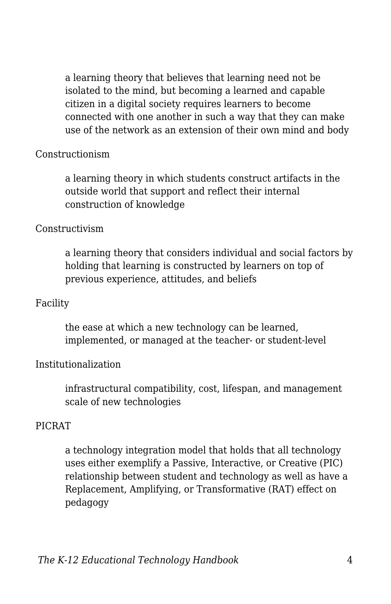a learning theory that believes that learning need not be isolated to the mind, but becoming a learned and capable citizen in a digital society requires learners to become connected with one another in such a way that they can make use of the network as an extension of their own mind and body

#### Constructionism

a learning theory in which students construct artifacts in the outside world that support and reflect their internal construction of knowledge

#### Constructivism

a learning theory that considers individual and social factors by holding that learning is constructed by learners on top of previous experience, attitudes, and beliefs

#### Facility

the ease at which a new technology can be learned, implemented, or managed at the teacher- or student-level

#### Institutionalization

infrastructural compatibility, cost, lifespan, and management scale of new technologies

#### PICRAT

a technology integration model that holds that all technology uses either exemplify a Passive, Interactive, or Creative (PIC) relationship between student and technology as well as have a Replacement, Amplifying, or Transformative (RAT) effect on pedagogy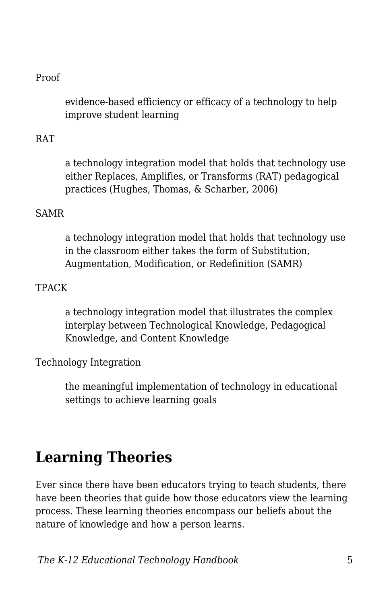#### Proof

evidence-based efficiency or efficacy of a technology to help improve student learning

#### RAT

a technology integration model that holds that technology use either Replaces, Amplifies, or Transforms (RAT) pedagogical practices (Hughes, Thomas, & Scharber, 2006)

#### SAMR

a technology integration model that holds that technology use in the classroom either takes the form of Substitution, Augmentation, Modification, or Redefinition (SAMR)

#### TPACK

a technology integration model that illustrates the complex interplay between Technological Knowledge, Pedagogical Knowledge, and Content Knowledge

Technology Integration

the meaningful implementation of technology in educational settings to achieve learning goals

### **Learning Theories**

Ever since there have been educators trying to teach students, there have been theories that guide how those educators view the learning process. These learning theories encompass our beliefs about the nature of knowledge and how a person learns.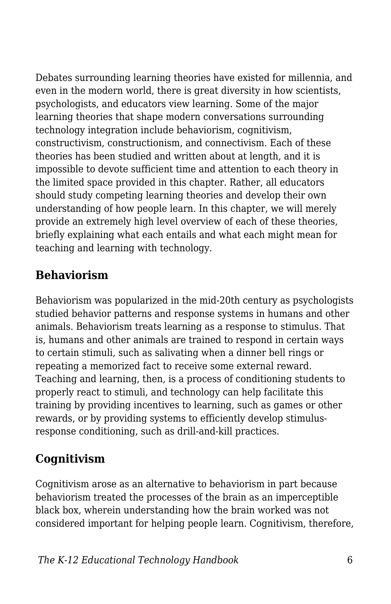Debates surrounding learning theories have existed for millennia, and even in the modern world, there is great diversity in how scientists, psychologists, and educators view learning. Some of the major learning theories that shape modern conversations surrounding technology integration include behaviorism, cognitivism, constructivism, constructionism, and connectivism. Each of these theories has been studied and written about at length, and it is impossible to devote sufficient time and attention to each theory in the limited space provided in this chapter. Rather, all educators should study competing learning theories and develop their own understanding of how people learn. In this chapter, we will merely provide an extremely high level overview of each of these theories, briefly explaining what each entails and what each might mean for teaching and learning with technology.

#### **Behaviorism**

Behaviorism was popularized in the mid-20th century as psychologists studied behavior patterns and response systems in humans and other animals. Behaviorism treats learning as a response to stimulus. That is, humans and other animals are trained to respond in certain ways to certain stimuli, such as salivating when a dinner bell rings or repeating a memorized fact to receive some external reward. Teaching and learning, then, is a process of conditioning students to properly react to stimuli, and technology can help facilitate this training by providing incentives to learning, such as games or other rewards, or by providing systems to efficiently develop stimulusresponse conditioning, such as drill-and-kill practices.

#### **Cognitivism**

Cognitivism arose as an alternative to behaviorism in part because behaviorism treated the processes of the brain as an imperceptible black box, wherein understanding how the brain worked was not considered important for helping people learn. Cognitivism, therefore,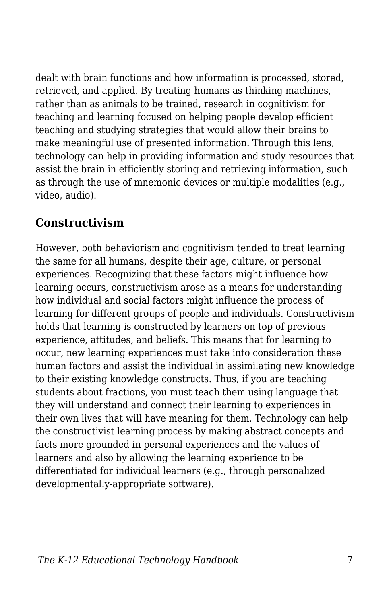dealt with brain functions and how information is processed, stored, retrieved, and applied. By treating humans as thinking machines, rather than as animals to be trained, research in cognitivism for teaching and learning focused on helping people develop efficient teaching and studying strategies that would allow their brains to make meaningful use of presented information. Through this lens, technology can help in providing information and study resources that assist the brain in efficiently storing and retrieving information, such as through the use of mnemonic devices or multiple modalities (e.g., video, audio).

#### **Constructivism**

However, both behaviorism and cognitivism tended to treat learning the same for all humans, despite their age, culture, or personal experiences. Recognizing that these factors might influence how learning occurs, constructivism arose as a means for understanding how individual and social factors might influence the process of learning for different groups of people and individuals. Constructivism holds that learning is constructed by learners on top of previous experience, attitudes, and beliefs. This means that for learning to occur, new learning experiences must take into consideration these human factors and assist the individual in assimilating new knowledge to their existing knowledge constructs. Thus, if you are teaching students about fractions, you must teach them using language that they will understand and connect their learning to experiences in their own lives that will have meaning for them. Technology can help the constructivist learning process by making abstract concepts and facts more grounded in personal experiences and the values of learners and also by allowing the learning experience to be differentiated for individual learners (e.g., through personalized developmentally-appropriate software).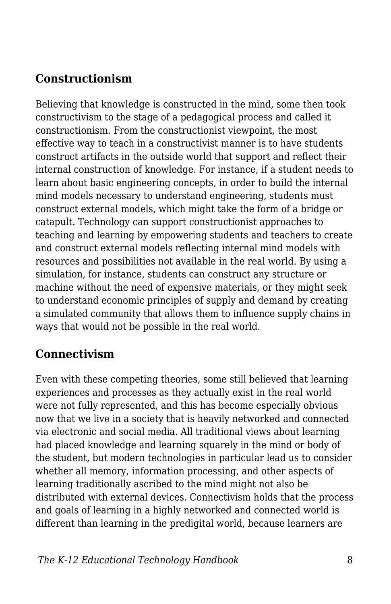#### **Constructionism**

Believing that knowledge is constructed in the mind, some then took constructivism to the stage of a pedagogical process and called it constructionism. From the constructionist viewpoint, the most effective way to teach in a constructivist manner is to have students construct artifacts in the outside world that support and reflect their internal construction of knowledge. For instance, if a student needs to learn about basic engineering concepts, in order to build the internal mind models necessary to understand engineering, students must construct external models, which might take the form of a bridge or catapult. Technology can support constructionist approaches to teaching and learning by empowering students and teachers to create and construct external models reflecting internal mind models with resources and possibilities not available in the real world. By using a simulation, for instance, students can construct any structure or machine without the need of expensive materials, or they might seek to understand economic principles of supply and demand by creating a simulated community that allows them to influence supply chains in ways that would not be possible in the real world.

#### **Connectivism**

Even with these competing theories, some still believed that learning experiences and processes as they actually exist in the real world were not fully represented, and this has become especially obvious now that we live in a society that is heavily networked and connected via electronic and social media. All traditional views about learning had placed knowledge and learning squarely in the mind or body of the student, but modern technologies in particular lead us to consider whether all memory, information processing, and other aspects of learning traditionally ascribed to the mind might not also be distributed with external devices. Connectivism holds that the process and goals of learning in a highly networked and connected world is different than learning in the predigital world, because learners are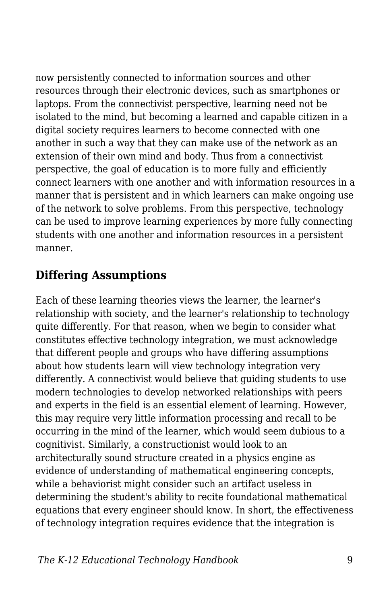now persistently connected to information sources and other resources through their electronic devices, such as smartphones or laptops. From the connectivist perspective, learning need not be isolated to the mind, but becoming a learned and capable citizen in a digital society requires learners to become connected with one another in such a way that they can make use of the network as an extension of their own mind and body. Thus from a connectivist perspective, the goal of education is to more fully and efficiently connect learners with one another and with information resources in a manner that is persistent and in which learners can make ongoing use of the network to solve problems. From this perspective, technology can be used to improve learning experiences by more fully connecting students with one another and information resources in a persistent manner.

#### **Differing Assumptions**

Each of these learning theories views the learner, the learner's relationship with society, and the learner's relationship to technology quite differently. For that reason, when we begin to consider what constitutes effective technology integration, we must acknowledge that different people and groups who have differing assumptions about how students learn will view technology integration very differently. A connectivist would believe that guiding students to use modern technologies to develop networked relationships with peers and experts in the field is an essential element of learning. However, this may require very little information processing and recall to be occurring in the mind of the learner, which would seem dubious to a cognitivist. Similarly, a constructionist would look to an architecturally sound structure created in a physics engine as evidence of understanding of mathematical engineering concepts, while a behaviorist might consider such an artifact useless in determining the student's ability to recite foundational mathematical equations that every engineer should know. In short, the effectiveness of technology integration requires evidence that the integration is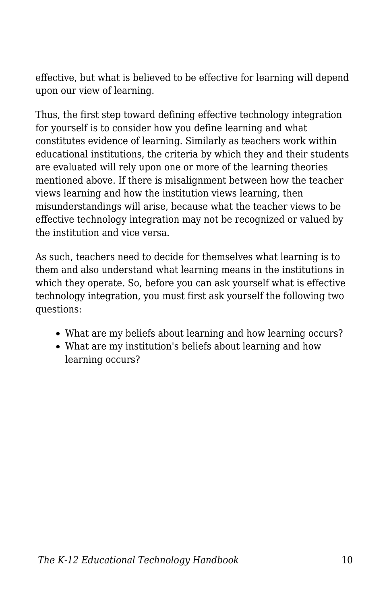effective, but what is believed to be effective for learning will depend upon our view of learning.

Thus, the first step toward defining effective technology integration for yourself is to consider how you define learning and what constitutes evidence of learning. Similarly as teachers work within educational institutions, the criteria by which they and their students are evaluated will rely upon one or more of the learning theories mentioned above. If there is misalignment between how the teacher views learning and how the institution views learning, then misunderstandings will arise, because what the teacher views to be effective technology integration may not be recognized or valued by the institution and vice versa.

As such, teachers need to decide for themselves what learning is to them and also understand what learning means in the institutions in which they operate. So, before you can ask yourself what is effective technology integration, you must first ask yourself the following two questions:

- What are my beliefs about learning and how learning occurs?
- What are my institution's beliefs about learning and how learning occurs?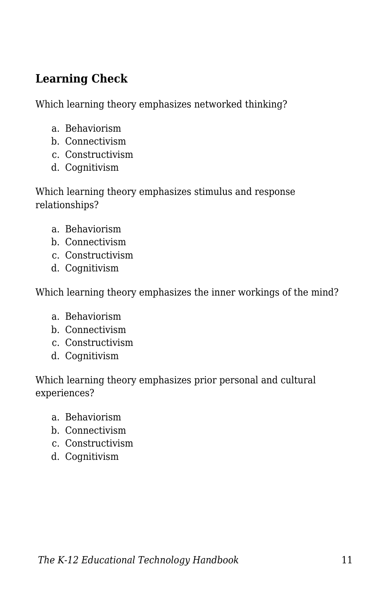#### **Learning Check**

Which learning theory emphasizes networked thinking?

- a. Behaviorism
- b. Connectivism
- c. Constructivism
- d. Cognitivism

Which learning theory emphasizes stimulus and response relationships?

- a. Behaviorism
- b. Connectivism
- c. Constructivism
- d. Cognitivism

Which learning theory emphasizes the inner workings of the mind?

- a. Behaviorism
- b. Connectivism
- c. Constructivism
- d. Cognitivism

Which learning theory emphasizes prior personal and cultural experiences?

- a. Behaviorism
- b. Connectivism
- c. Constructivism
- d. Cognitivism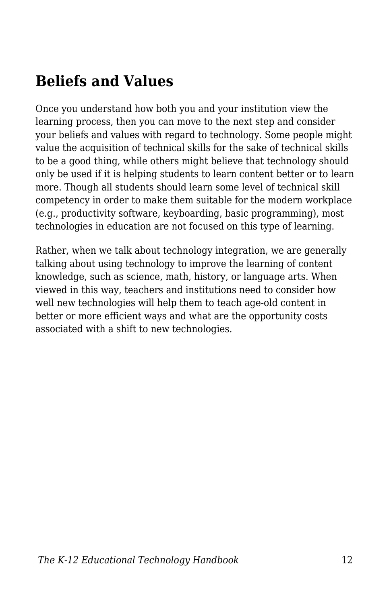## **Beliefs and Values**

Once you understand how both you and your institution view the learning process, then you can move to the next step and consider your beliefs and values with regard to technology. Some people might value the acquisition of technical skills for the sake of technical skills to be a good thing, while others might believe that technology should only be used if it is helping students to learn content better or to learn more. Though all students should learn some level of technical skill competency in order to make them suitable for the modern workplace (e.g., productivity software, keyboarding, basic programming), most technologies in education are not focused on this type of learning.

Rather, when we talk about technology integration, we are generally talking about using technology to improve the learning of content knowledge, such as science, math, history, or language arts. When viewed in this way, teachers and institutions need to consider how well new technologies will help them to teach age-old content in better or more efficient ways and what are the opportunity costs associated with a shift to new technologies.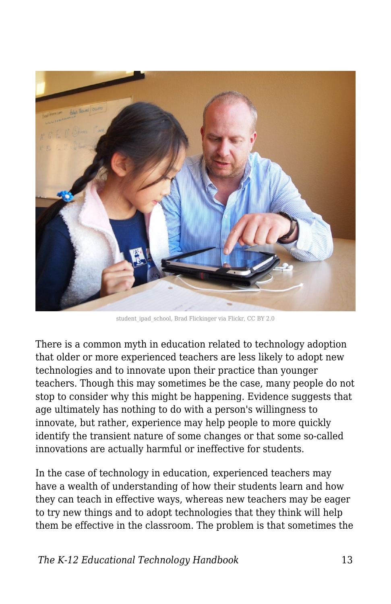

student ipad school, Brad Flickinger via Flickr, CC BY 2.0

There is a common myth in education related to technology adoption that older or more experienced teachers are less likely to adopt new technologies and to innovate upon their practice than younger teachers. Though this may sometimes be the case, many people do not stop to consider why this might be happening. Evidence suggests that age ultimately has nothing to do with a person's willingness to innovate, but rather, experience may help people to more quickly identify the transient nature of some changes or that some so-called innovations are actually harmful or ineffective for students.

In the case of technology in education, experienced teachers may have a wealth of understanding of how their students learn and how they can teach in effective ways, whereas new teachers may be eager to try new things and to adopt technologies that they think will help them be effective in the classroom. The problem is that sometimes the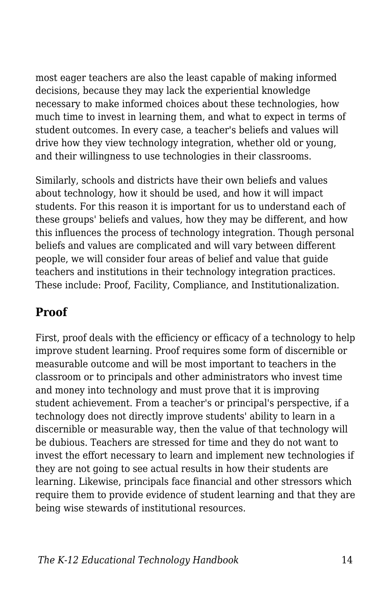most eager teachers are also the least capable of making informed decisions, because they may lack the experiential knowledge necessary to make informed choices about these technologies, how much time to invest in learning them, and what to expect in terms of student outcomes. In every case, a teacher's beliefs and values will drive how they view technology integration, whether old or young, and their willingness to use technologies in their classrooms.

Similarly, schools and districts have their own beliefs and values about technology, how it should be used, and how it will impact students. For this reason it is important for us to understand each of these groups' beliefs and values, how they may be different, and how this influences the process of technology integration. Though personal beliefs and values are complicated and will vary between different people, we will consider four areas of belief and value that guide teachers and institutions in their technology integration practices. These include: Proof, Facility, Compliance, and Institutionalization.

#### **Proof**

First, proof deals with the efficiency or efficacy of a technology to help improve student learning. Proof requires some form of discernible or measurable outcome and will be most important to teachers in the classroom or to principals and other administrators who invest time and money into technology and must prove that it is improving student achievement. From a teacher's or principal's perspective, if a technology does not directly improve students' ability to learn in a discernible or measurable way, then the value of that technology will be dubious. Teachers are stressed for time and they do not want to invest the effort necessary to learn and implement new technologies if they are not going to see actual results in how their students are learning. Likewise, principals face financial and other stressors which require them to provide evidence of student learning and that they are being wise stewards of institutional resources.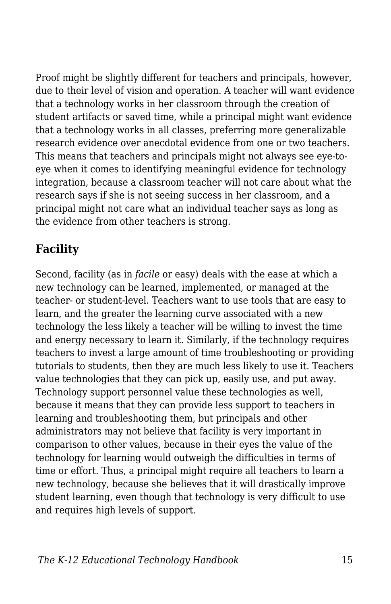Proof might be slightly different for teachers and principals, however, due to their level of vision and operation. A teacher will want evidence that a technology works in her classroom through the creation of student artifacts or saved time, while a principal might want evidence that a technology works in all classes, preferring more generalizable research evidence over anecdotal evidence from one or two teachers. This means that teachers and principals might not always see eye-toeye when it comes to identifying meaningful evidence for technology integration, because a classroom teacher will not care about what the research says if she is not seeing success in her classroom, and a principal might not care what an individual teacher says as long as the evidence from other teachers is strong.

#### **Facility**

Second, facility (as in *facile* or easy) deals with the ease at which a new technology can be learned, implemented, or managed at the teacher- or student-level. Teachers want to use tools that are easy to learn, and the greater the learning curve associated with a new technology the less likely a teacher will be willing to invest the time and energy necessary to learn it. Similarly, if the technology requires teachers to invest a large amount of time troubleshooting or providing tutorials to students, then they are much less likely to use it. Teachers value technologies that they can pick up, easily use, and put away. Technology support personnel value these technologies as well, because it means that they can provide less support to teachers in learning and troubleshooting them, but principals and other administrators may not believe that facility is very important in comparison to other values, because in their eyes the value of the technology for learning would outweigh the difficulties in terms of time or effort. Thus, a principal might require all teachers to learn a new technology, because she believes that it will drastically improve student learning, even though that technology is very difficult to use and requires high levels of support.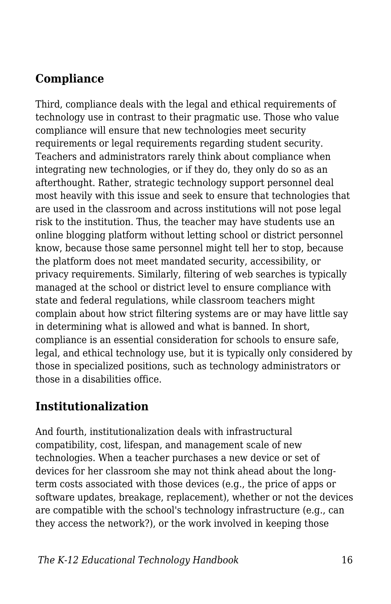#### **Compliance**

Third, compliance deals with the legal and ethical requirements of technology use in contrast to their pragmatic use. Those who value compliance will ensure that new technologies meet security requirements or legal requirements regarding student security. Teachers and administrators rarely think about compliance when integrating new technologies, or if they do, they only do so as an afterthought. Rather, strategic technology support personnel deal most heavily with this issue and seek to ensure that technologies that are used in the classroom and across institutions will not pose legal risk to the institution. Thus, the teacher may have students use an online blogging platform without letting school or district personnel know, because those same personnel might tell her to stop, because the platform does not meet mandated security, accessibility, or privacy requirements. Similarly, filtering of web searches is typically managed at the school or district level to ensure compliance with state and federal regulations, while classroom teachers might complain about how strict filtering systems are or may have little say in determining what is allowed and what is banned. In short, compliance is an essential consideration for schools to ensure safe, legal, and ethical technology use, but it is typically only considered by those in specialized positions, such as technology administrators or those in a disabilities office.

#### **Institutionalization**

And fourth, institutionalization deals with infrastructural compatibility, cost, lifespan, and management scale of new technologies. When a teacher purchases a new device or set of devices for her classroom she may not think ahead about the longterm costs associated with those devices (e.g., the price of apps or software updates, breakage, replacement), whether or not the devices are compatible with the school's technology infrastructure (e.g., can they access the network?), or the work involved in keeping those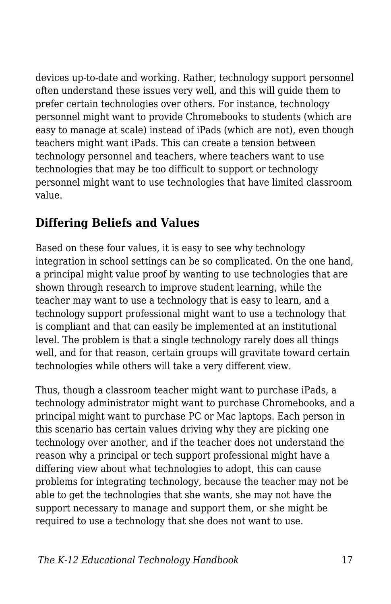devices up-to-date and working. Rather, technology support personnel often understand these issues very well, and this will guide them to prefer certain technologies over others. For instance, technology personnel might want to provide Chromebooks to students (which are easy to manage at scale) instead of iPads (which are not), even though teachers might want iPads. This can create a tension between technology personnel and teachers, where teachers want to use technologies that may be too difficult to support or technology personnel might want to use technologies that have limited classroom value.

#### **Differing Beliefs and Values**

Based on these four values, it is easy to see why technology integration in school settings can be so complicated. On the one hand, a principal might value proof by wanting to use technologies that are shown through research to improve student learning, while the teacher may want to use a technology that is easy to learn, and a technology support professional might want to use a technology that is compliant and that can easily be implemented at an institutional level. The problem is that a single technology rarely does all things well, and for that reason, certain groups will gravitate toward certain technologies while others will take a very different view.

Thus, though a classroom teacher might want to purchase iPads, a technology administrator might want to purchase Chromebooks, and a principal might want to purchase PC or Mac laptops. Each person in this scenario has certain values driving why they are picking one technology over another, and if the teacher does not understand the reason why a principal or tech support professional might have a differing view about what technologies to adopt, this can cause problems for integrating technology, because the teacher may not be able to get the technologies that she wants, she may not have the support necessary to manage and support them, or she might be required to use a technology that she does not want to use.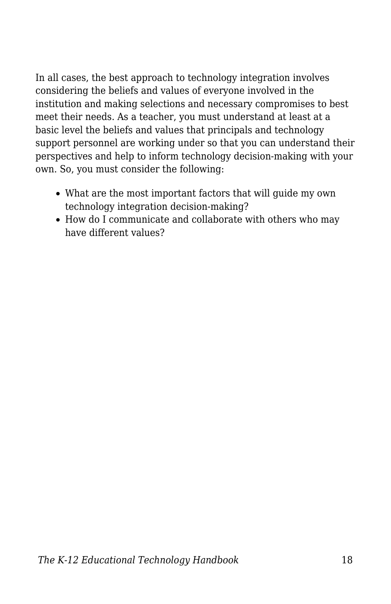In all cases, the best approach to technology integration involves considering the beliefs and values of everyone involved in the institution and making selections and necessary compromises to best meet their needs. As a teacher, you must understand at least at a basic level the beliefs and values that principals and technology support personnel are working under so that you can understand their perspectives and help to inform technology decision-making with your own. So, you must consider the following:

- What are the most important factors that will guide my own technology integration decision-making?
- How do I communicate and collaborate with others who may have different values?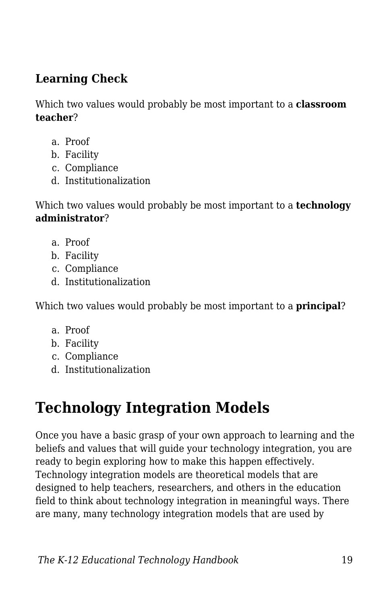#### **Learning Check**

Which two values would probably be most important to a **classroom teacher**?

- a. Proof
- b. Facility
- c. Compliance
- d. Institutionalization

Which two values would probably be most important to a **technology administrator**?

- a. Proof
- b. Facility
- c. Compliance
- d. Institutionalization

Which two values would probably be most important to a **principal**?

- a. Proof
- b. Facility
- c. Compliance
- d. Institutionalization

# **Technology Integration Models**

Once you have a basic grasp of your own approach to learning and the beliefs and values that will guide your technology integration, you are ready to begin exploring how to make this happen effectively. Technology integration models are theoretical models that are designed to help teachers, researchers, and others in the education field to think about technology integration in meaningful ways. There are many, many technology integration models that are used by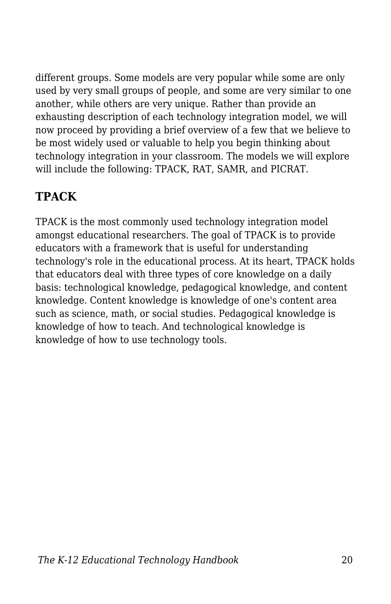different groups. Some models are very popular while some are only used by very small groups of people, and some are very similar to one another, while others are very unique. Rather than provide an exhausting description of each technology integration model, we will now proceed by providing a brief overview of a few that we believe to be most widely used or valuable to help you begin thinking about technology integration in your classroom. The models we will explore will include the following: TPACK, RAT, SAMR, and PICRAT.

#### **TPACK**

TPACK is the most commonly used technology integration model amongst educational researchers. The goal of TPACK is to provide educators with a framework that is useful for understanding technology's role in the educational process. At its heart, TPACK holds that educators deal with three types of core knowledge on a daily basis: technological knowledge, pedagogical knowledge, and content knowledge. Content knowledge is knowledge of one's content area such as science, math, or social studies. Pedagogical knowledge is knowledge of how to teach. And technological knowledge is knowledge of how to use technology tools.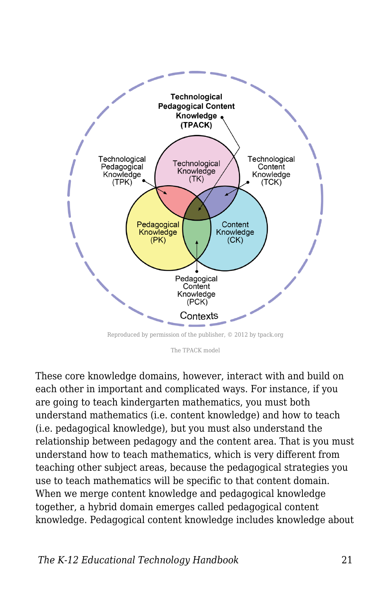

Reproduced by permission of the publisher, © 2012 by tpack.org

The TPACK model

These core knowledge domains, however, interact with and build on each other in important and complicated ways. For instance, if you are going to teach kindergarten mathematics, you must both understand mathematics (i.e. content knowledge) and how to teach (i.e. pedagogical knowledge), but you must also understand the relationship between pedagogy and the content area. That is you must understand how to teach mathematics, which is very different from teaching other subject areas, because the pedagogical strategies you use to teach mathematics will be specific to that content domain. When we merge content knowledge and pedagogical knowledge together, a hybrid domain emerges called pedagogical content knowledge. Pedagogical content knowledge includes knowledge about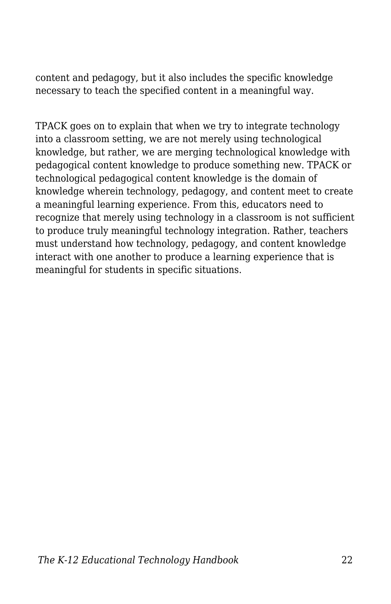content and pedagogy, but it also includes the specific knowledge necessary to teach the specified content in a meaningful way.

TPACK goes on to explain that when we try to integrate technology into a classroom setting, we are not merely using technological knowledge, but rather, we are merging technological knowledge with pedagogical content knowledge to produce something new. TPACK or technological pedagogical content knowledge is the domain of knowledge wherein technology, pedagogy, and content meet to create a meaningful learning experience. From this, educators need to recognize that merely using technology in a classroom is not sufficient to produce truly meaningful technology integration. Rather, teachers must understand how technology, pedagogy, and content knowledge interact with one another to produce a learning experience that is meaningful for students in specific situations.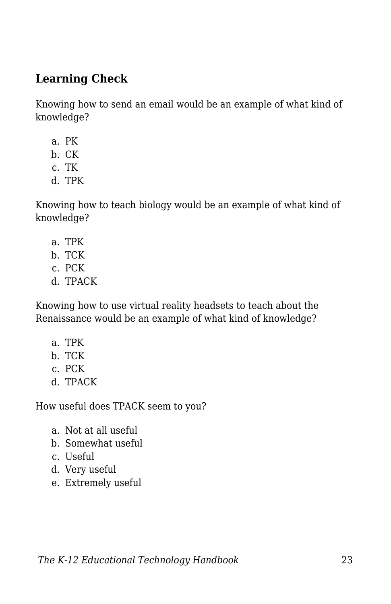#### **Learning Check**

Knowing how to send an email would be an example of what kind of knowledge?

- a. PK
- b. CK
- c. TK
- d. TPK

Knowing how to teach biology would be an example of what kind of knowledge?

- a. TPK
- b. TCK
- c. PCK
- d. TPACK

Knowing how to use virtual reality headsets to teach about the Renaissance would be an example of what kind of knowledge?

- a. TPK
- b. TCK
- c. PCK
- d. TPACK

How useful does TPACK seem to you?

- a. Not at all useful
- b. Somewhat useful
- c. Useful
- d. Very useful
- e. Extremely useful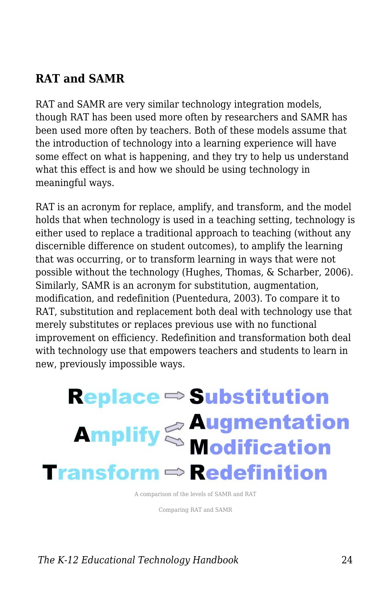#### **RAT and SAMR**

RAT and SAMR are very similar technology integration models, though RAT has been used more often by researchers and SAMR has been used more often by teachers. Both of these models assume that the introduction of technology into a learning experience will have some effect on what is happening, and they try to help us understand what this effect is and how we should be using technology in meaningful ways.

RAT is an acronym for replace, amplify, and transform, and the model holds that when technology is used in a teaching setting, technology is either used to replace a traditional approach to teaching (without any discernible difference on student outcomes), to amplify the learning that was occurring, or to transform learning in ways that were not possible without the technology (Hughes, Thomas, & Scharber, 2006). Similarly, SAMR is an acronym for substitution, augmentation, modification, and redefinition (Puentedura, 2003). To compare it to RAT, substitution and replacement both deal with technology use that merely substitutes or replaces previous use with no functional improvement on efficiency. Redefinition and transformation both deal with technology use that empowers teachers and students to learn in new, previously impossible ways.

# $Replace \Rightarrow Substitution$ **Amplify Saugmentation Transform**  $\Rightarrow$  **Redefinition**

A comparison of the levels of SAMR and RAT

Comparing RAT and SAMR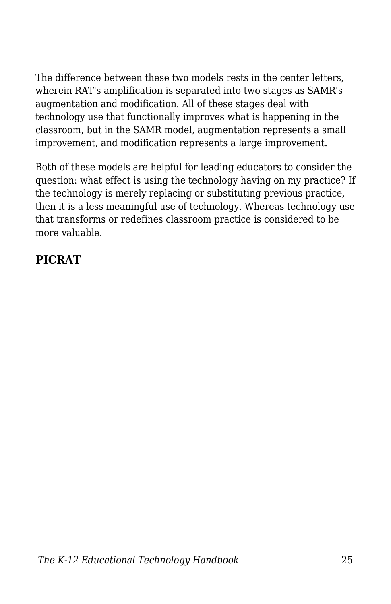The difference between these two models rests in the center letters, wherein RAT's amplification is separated into two stages as SAMR's augmentation and modification. All of these stages deal with technology use that functionally improves what is happening in the classroom, but in the SAMR model, augmentation represents a small improvement, and modification represents a large improvement.

Both of these models are helpful for leading educators to consider the question: what effect is using the technology having on my practice? If the technology is merely replacing or substituting previous practice, then it is a less meaningful use of technology. Whereas technology use that transforms or redefines classroom practice is considered to be more valuable.

#### **PICRAT**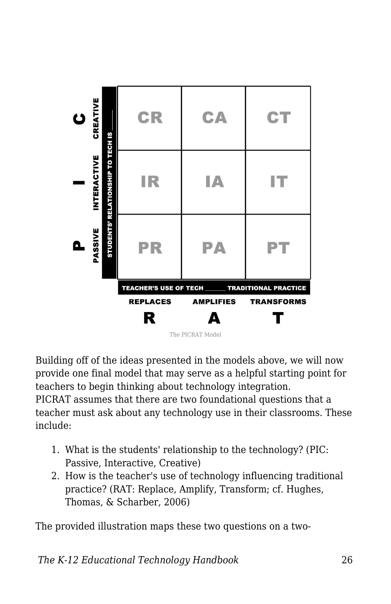

Building off of the ideas presented in the models above, we will now provide one final model that may serve as a helpful starting point for teachers to begin thinking about technology integration.

PICRAT assumes that there are two foundational questions that a teacher must ask about any technology use in their classrooms. These include:

- 1. What is the students' relationship to the technology? (PIC: Passive, Interactive, Creative)
- 2. How is the teacher's use of technology influencing traditional practice? (RAT: Replace, Amplify, Transform; cf. Hughes, Thomas, & Scharber, 2006)

The provided illustration maps these two questions on a two-

*The K-12 Educational Technology Handbook* 26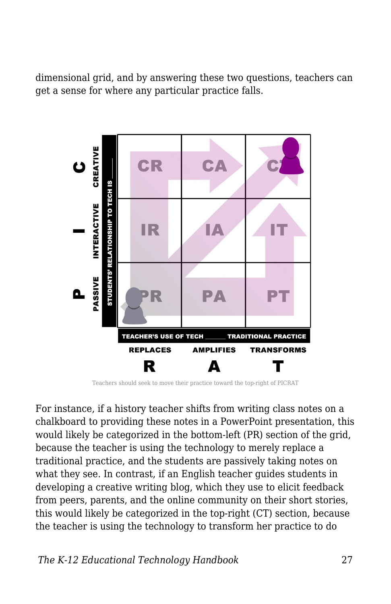dimensional grid, and by answering these two questions, teachers can get a sense for where any particular practice falls.



Teachers should seek to move their practice toward the top-right of PICRAT

For instance, if a history teacher shifts from writing class notes on a chalkboard to providing these notes in a PowerPoint presentation, this would likely be categorized in the bottom-left (PR) section of the grid, because the teacher is using the technology to merely replace a traditional practice, and the students are passively taking notes on what they see. In contrast, if an English teacher guides students in developing a creative writing blog, which they use to elicit feedback from peers, parents, and the online community on their short stories, this would likely be categorized in the top-right (CT) section, because the teacher is using the technology to transform her practice to do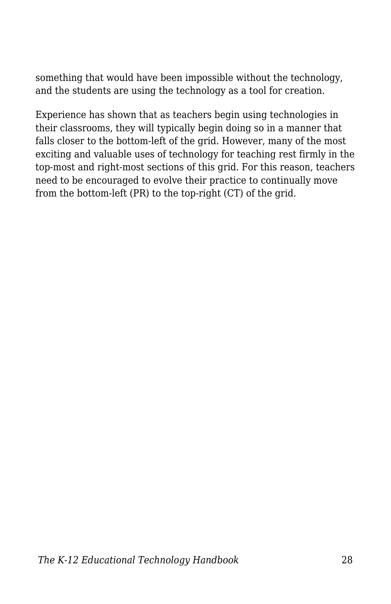something that would have been impossible without the technology, and the students are using the technology as a tool for creation.

Experience has shown that as teachers begin using technologies in their classrooms, they will typically begin doing so in a manner that falls closer to the bottom-left of the grid. However, many of the most exciting and valuable uses of technology for teaching rest firmly in the top-most and right-most sections of this grid. For this reason, teachers need to be encouraged to evolve their practice to continually move from the bottom-left (PR) to the top-right (CT) of the grid.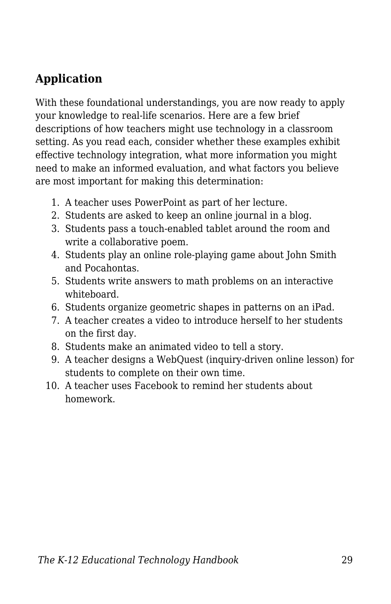#### **Application**

With these foundational understandings, you are now ready to apply your knowledge to real-life scenarios. Here are a few brief descriptions of how teachers might use technology in a classroom setting. As you read each, consider whether these examples exhibit effective technology integration, what more information you might need to make an informed evaluation, and what factors you believe are most important for making this determination:

- 1. A teacher uses PowerPoint as part of her lecture.
- 2. Students are asked to keep an online journal in a blog.
- 3. Students pass a touch-enabled tablet around the room and write a collaborative poem.
- 4. Students play an online role-playing game about John Smith and Pocahontas.
- 5. Students write answers to math problems on an interactive whiteboard.
- 6. Students organize geometric shapes in patterns on an iPad.
- 7. A teacher creates a video to introduce herself to her students on the first day.
- 8. Students make an animated video to tell a story.
- 9. A teacher designs a WebQuest (inquiry-driven online lesson) for students to complete on their own time.
- 10. A teacher uses Facebook to remind her students about homework.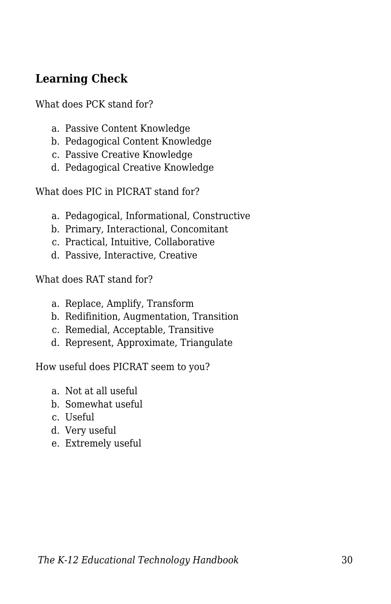#### **Learning Check**

What does PCK stand for?

- a. Passive Content Knowledge
- b. Pedagogical Content Knowledge
- c. Passive Creative Knowledge
- d. Pedagogical Creative Knowledge

What does PIC in PICRAT stand for?

- a. Pedagogical, Informational, Constructive
- b. Primary, Interactional, Concomitant
- c. Practical, Intuitive, Collaborative
- d. Passive, Interactive, Creative

What does RAT stand for?

- a. Replace, Amplify, Transform
- b. Redifinition, Augmentation, Transition
- c. Remedial, Acceptable, Transitive
- d. Represent, Approximate, Triangulate

How useful does PICRAT seem to you?

- a. Not at all useful
- b. Somewhat useful
- c. Useful
- d. Very useful
- e. Extremely useful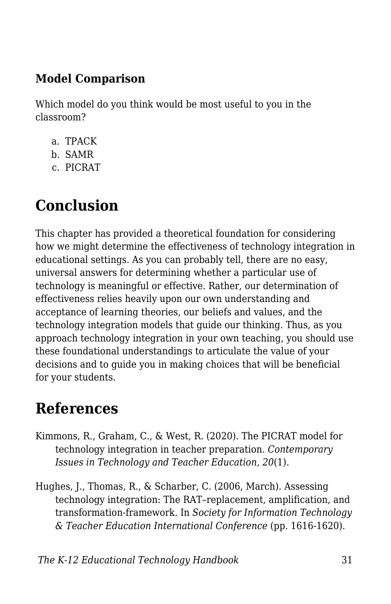#### **Model Comparison**

Which model do you think would be most useful to you in the classroom?

- a. TPACK
- b. SAMR
- c. PICRAT

# **Conclusion**

This chapter has provided a theoretical foundation for considering how we might determine the effectiveness of technology integration in educational settings. As you can probably tell, there are no easy, universal answers for determining whether a particular use of technology is meaningful or effective. Rather, our determination of effectiveness relies heavily upon our own understanding and acceptance of learning theories, our beliefs and values, and the technology integration models that guide our thinking. Thus, as you approach technology integration in your own teaching, you should use these foundational understandings to articulate the value of your decisions and to guide you in making choices that will be beneficial for your students.

## **References**

- Kimmons, R., Graham, C., & West, R. (2020). The PICRAT model for technology integration in teacher preparation. *Contemporary Issues in Technology and Teacher Education, 20*(1).
- Hughes, J., Thomas, R., & Scharber, C. (2006, March). Assessing technology integration: The RAT–replacement, amplification, and transformation-framework. In *Society for Information Technology & Teacher Education International Conference* (pp. 1616-1620).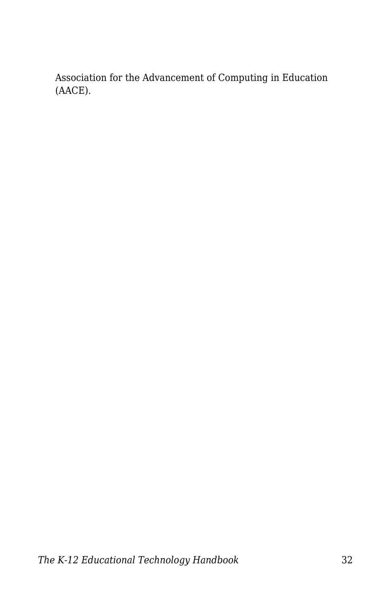Association for the Advancement of Computing in Education (AACE).